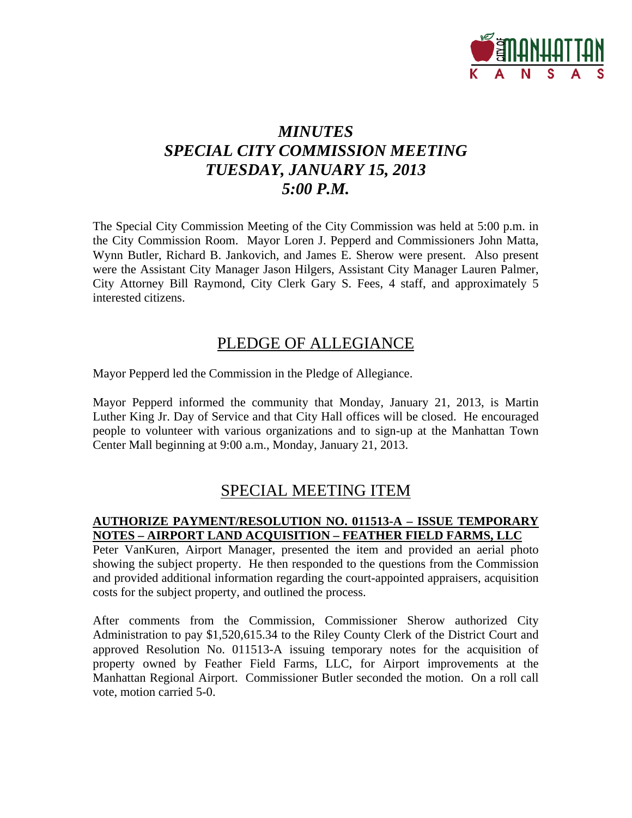

# *MINUTES SPECIAL CITY COMMISSION MEETING TUESDAY, JANUARY 15, 2013 5:00 P.M.*

The Special City Commission Meeting of the City Commission was held at 5:00 p.m. in the City Commission Room. Mayor Loren J. Pepperd and Commissioners John Matta, Wynn Butler, Richard B. Jankovich, and James E. Sherow were present. Also present were the Assistant City Manager Jason Hilgers, Assistant City Manager Lauren Palmer, City Attorney Bill Raymond, City Clerk Gary S. Fees, 4 staff, and approximately 5 interested citizens.

## PLEDGE OF ALLEGIANCE

Mayor Pepperd led the Commission in the Pledge of Allegiance.

Mayor Pepperd informed the community that Monday, January 21, 2013, is Martin Luther King Jr. Day of Service and that City Hall offices will be closed. He encouraged people to volunteer with various organizations and to sign-up at the Manhattan Town Center Mall beginning at 9:00 a.m., Monday, January 21, 2013.

## SPECIAL MEETING ITEM

#### **AUTHORIZE PAYMENT/RESOLUTION NO. 011513-A – ISSUE TEMPORARY NOTES – AIRPORT LAND ACQUISITION – FEATHER FIELD FARMS, LLC**

Peter VanKuren, Airport Manager, presented the item and provided an aerial photo showing the subject property. He then responded to the questions from the Commission and provided additional information regarding the court-appointed appraisers, acquisition costs for the subject property, and outlined the process.

After comments from the Commission, Commissioner Sherow authorized City Administration to pay \$1,520,615.34 to the Riley County Clerk of the District Court and approved Resolution No. 011513-A issuing temporary notes for the acquisition of property owned by Feather Field Farms, LLC, for Airport improvements at the Manhattan Regional Airport. Commissioner Butler seconded the motion. On a roll call vote, motion carried 5-0.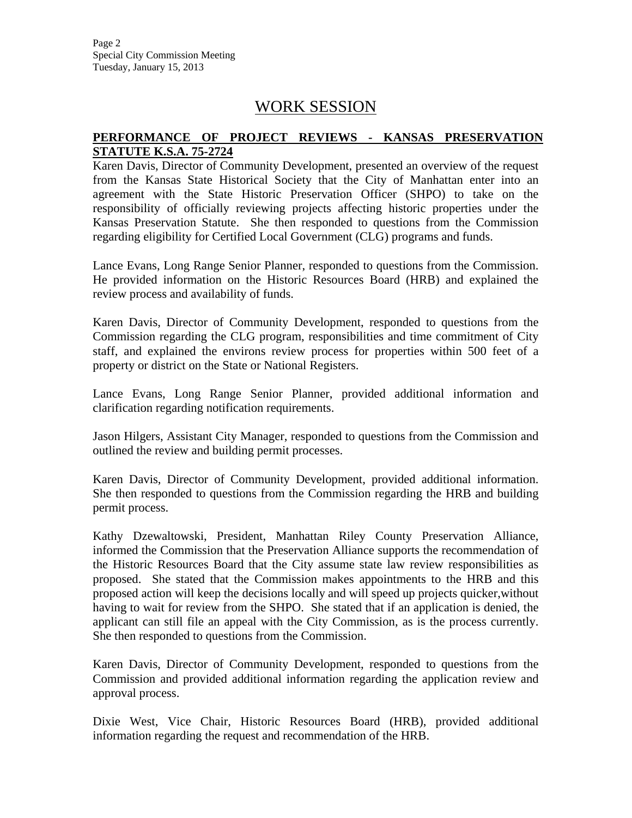Page 2 Special City Commission Meeting Tuesday, January 15, 2013

### WORK SESSION

#### **PERFORMANCE OF PROJECT REVIEWS - KANSAS PRESERVATION STATUTE K.S.A. 75-2724**

Karen Davis, Director of Community Development, presented an overview of the request from the Kansas State Historical Society that the City of Manhattan enter into an agreement with the State Historic Preservation Officer (SHPO) to take on the responsibility of officially reviewing projects affecting historic properties under the Kansas Preservation Statute. She then responded to questions from the Commission regarding eligibility for Certified Local Government (CLG) programs and funds.

Lance Evans, Long Range Senior Planner, responded to questions from the Commission. He provided information on the Historic Resources Board (HRB) and explained the review process and availability of funds.

Karen Davis, Director of Community Development, responded to questions from the Commission regarding the CLG program, responsibilities and time commitment of City staff, and explained the environs review process for properties within 500 feet of a property or district on the State or National Registers.

Lance Evans, Long Range Senior Planner, provided additional information and clarification regarding notification requirements.

Jason Hilgers, Assistant City Manager, responded to questions from the Commission and outlined the review and building permit processes.

Karen Davis, Director of Community Development, provided additional information. She then responded to questions from the Commission regarding the HRB and building permit process.

Kathy Dzewaltowski, President, Manhattan Riley County Preservation Alliance, informed the Commission that the Preservation Alliance supports the recommendation of the Historic Resources Board that the City assume state law review responsibilities as proposed. She stated that the Commission makes appointments to the HRB and this proposed action will keep the decisions locally and will speed up projects quicker,without having to wait for review from the SHPO. She stated that if an application is denied, the applicant can still file an appeal with the City Commission, as is the process currently. She then responded to questions from the Commission.

Karen Davis, Director of Community Development, responded to questions from the Commission and provided additional information regarding the application review and approval process.

Dixie West, Vice Chair, Historic Resources Board (HRB), provided additional information regarding the request and recommendation of the HRB.